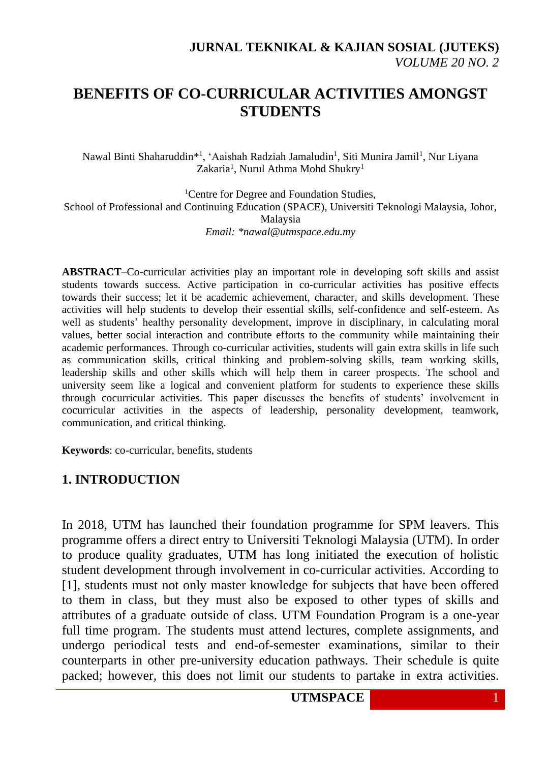# **BENEFITS OF CO-CURRICULAR ACTIVITIES AMONGST STUDENTS**

Nawal Binti Shaharuddin\*<sup>1</sup>, 'Aaishah Radziah Jamaludin<sup>1</sup>, Siti Munira Jamil<sup>1</sup>, Nur Liyana Zakaria<sup>1</sup>, Nurul Athma Mohd Shukry<sup>1</sup>

<sup>1</sup>Centre for Degree and Foundation Studies, School of Professional and Continuing Education (SPACE), Universiti Teknologi Malaysia, Johor, Malaysia *Email: \*nawal@utmspace.edu.my*

**ABSTRACT**–Co-curricular activities play an important role in developing soft skills and assist students towards success. Active participation in co-curricular activities has positive effects towards their success; let it be academic achievement, character, and skills development. These activities will help students to develop their essential skills, self-confidence and self-esteem. As well as students' healthy personality development, improve in disciplinary, in calculating moral values, better social interaction and contribute efforts to the community while maintaining their academic performances. Through co-curricular activities, students will gain extra skills in life such as communication skills, critical thinking and problem-solving skills, team working skills, leadership skills and other skills which will help them in career prospects. The school and university seem like a logical and convenient platform for students to experience these skills through cocurricular activities. This paper discusses the benefits of students' involvement in cocurricular activities in the aspects of leadership, personality development, teamwork, communication, and critical thinking.

**Keywords**: co-curricular, benefits, students

#### **1. INTRODUCTION**

In 2018, UTM has launched their foundation programme for SPM leavers. This programme offers a direct entry to Universiti Teknologi Malaysia (UTM). In order to produce quality graduates, UTM has long initiated the execution of holistic student development through involvement in co-curricular activities. According to [1], students must not only master knowledge for subjects that have been offered to them in class, but they must also be exposed to other types of skills and attributes of a graduate outside of class. UTM Foundation Program is a one-year full time program. The students must attend lectures, complete assignments, and undergo periodical tests and end-of-semester examinations, similar to their counterparts in other pre-university education pathways. Their schedule is quite packed; however, this does not limit our students to partake in extra activities.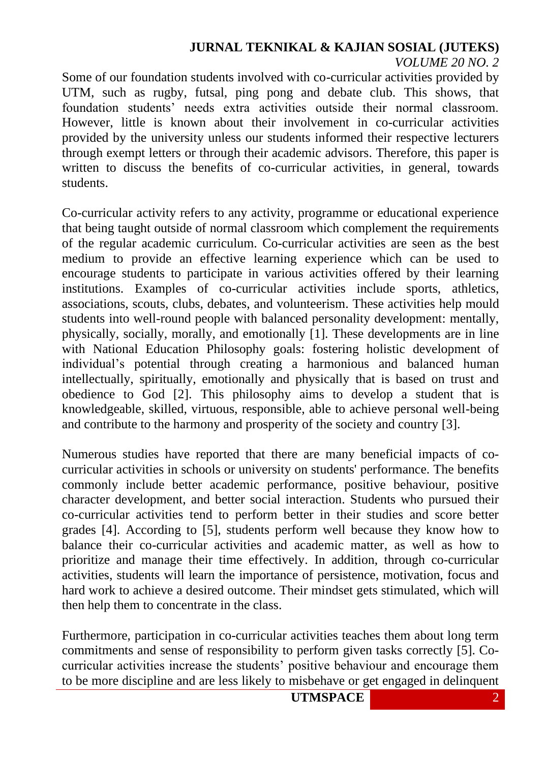Some of our foundation students involved with co-curricular activities provided by UTM, such as rugby, futsal, ping pong and debate club. This shows, that foundation students' needs extra activities outside their normal classroom. However, little is known about their involvement in co-curricular activities provided by the university unless our students informed their respective lecturers through exempt letters or through their academic advisors. Therefore, this paper is written to discuss the benefits of co-curricular activities, in general, towards students.

Co-curricular activity refers to any activity, programme or educational experience that being taught outside of normal classroom which complement the requirements of the regular academic curriculum. Co-curricular activities are seen as the best medium to provide an effective learning experience which can be used to encourage students to participate in various activities offered by their learning institutions. Examples of co-curricular activities include sports, athletics, associations, scouts, clubs, debates, and volunteerism. These activities help mould students into well-round people with balanced personality development: mentally, physically, socially, morally, and emotionally [1]. These developments are in line with National Education Philosophy goals: fostering holistic development of individual's potential through creating a harmonious and balanced human intellectually, spiritually, emotionally and physically that is based on trust and obedience to God [2]. This philosophy aims to develop a student that is knowledgeable, skilled, virtuous, responsible, able to achieve personal well-being and contribute to the harmony and prosperity of the society and country [3].

Numerous studies have reported that there are many beneficial impacts of cocurricular activities in schools or university on students' performance. The benefits commonly include better academic performance, positive behaviour, positive character development, and better social interaction. Students who pursued their co-curricular activities tend to perform better in their studies and score better grades [4]. According to [5], students perform well because they know how to balance their co-curricular activities and academic matter, as well as how to prioritize and manage their time effectively. In addition, through co-curricular activities, students will learn the importance of persistence, motivation, focus and hard work to achieve a desired outcome. Their mindset gets stimulated, which will then help them to concentrate in the class.

Furthermore, participation in co-curricular activities teaches them about long term commitments and sense of responsibility to perform given tasks correctly [5]. Cocurricular activities increase the students' positive behaviour and encourage them to be more discipline and are less likely to misbehave or get engaged in delinquent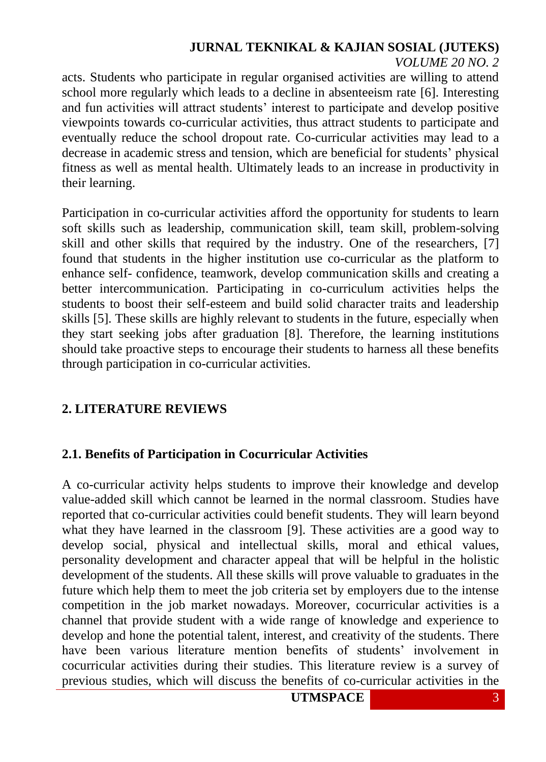acts. Students who participate in regular organised activities are willing to attend school more regularly which leads to a decline in absenteeism rate [6]. Interesting and fun activities will attract students' interest to participate and develop positive viewpoints towards co-curricular activities, thus attract students to participate and eventually reduce the school dropout rate. Co-curricular activities may lead to a decrease in academic stress and tension, which are beneficial for students' physical fitness as well as mental health. Ultimately leads to an increase in productivity in their learning.

Participation in co-curricular activities afford the opportunity for students to learn soft skills such as leadership, communication skill, team skill, problem-solving skill and other skills that required by the industry. One of the researchers, [7] found that students in the higher institution use co-curricular as the platform to enhance self- confidence, teamwork, develop communication skills and creating a better intercommunication. Participating in co-curriculum activities helps the students to boost their self-esteem and build solid character traits and leadership skills [5]. These skills are highly relevant to students in the future, especially when they start seeking jobs after graduation [8]. Therefore, the learning institutions should take proactive steps to encourage their students to harness all these benefits through participation in co-curricular activities.

#### **2. LITERATURE REVIEWS**

#### **2.1. Benefits of Participation in Cocurricular Activities**

A co-curricular activity helps students to improve their knowledge and develop value-added skill which cannot be learned in the normal classroom. Studies have reported that co-curricular activities could benefit students. They will learn beyond what they have learned in the classroom [9]. These activities are a good way to develop social, physical and intellectual skills, moral and ethical values, personality development and character appeal that will be helpful in the holistic development of the students. All these skills will prove valuable to graduates in the future which help them to meet the job criteria set by employers due to the intense competition in the job market nowadays. Moreover, cocurricular activities is a channel that provide student with a wide range of knowledge and experience to develop and hone the potential talent, interest, and creativity of the students. There have been various literature mention benefits of students' involvement in cocurricular activities during their studies. This literature review is a survey of previous studies, which will discuss the benefits of co-curricular activities in the

**UTMSPACE** 3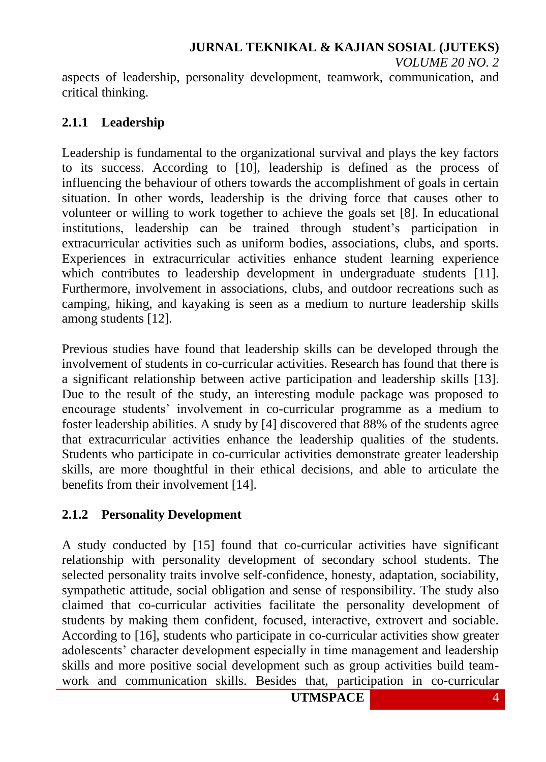aspects of leadership, personality development, teamwork, communication, and critical thinking.

#### **2.1.1 Leadership**

Leadership is fundamental to the organizational survival and plays the key factors to its success. According to [10], leadership is defined as the process of influencing the behaviour of others towards the accomplishment of goals in certain situation. In other words, leadership is the driving force that causes other to volunteer or willing to work together to achieve the goals set [8]. In educational institutions, leadership can be trained through student's participation in extracurricular activities such as uniform bodies, associations, clubs, and sports. Experiences in extracurricular activities enhance student learning experience which contributes to leadership development in undergraduate students [11]. Furthermore, involvement in associations, clubs, and outdoor recreations such as camping, hiking, and kayaking is seen as a medium to nurture leadership skills among students [12].

Previous studies have found that leadership skills can be developed through the involvement of students in co-curricular activities. Research has found that there is a significant relationship between active participation and leadership skills [13]. Due to the result of the study, an interesting module package was proposed to encourage students' involvement in co-curricular programme as a medium to foster leadership abilities. A study by [4] discovered that 88% of the students agree that extracurricular activities enhance the leadership qualities of the students. Students who participate in co-curricular activities demonstrate greater leadership skills, are more thoughtful in their ethical decisions, and able to articulate the benefits from their involvement [14].

## **2.1.2 Personality Development**

A study conducted by [15] found that co-curricular activities have significant relationship with personality development of secondary school students. The selected personality traits involve self-confidence, honesty, adaptation, sociability, sympathetic attitude, social obligation and sense of responsibility. The study also claimed that co-curricular activities facilitate the personality development of students by making them confident, focused, interactive, extrovert and sociable. According to [16], students who participate in co-curricular activities show greater adolescents' character development especially in time management and leadership skills and more positive social development such as group activities build teamwork and communication skills. Besides that, participation in co-curricular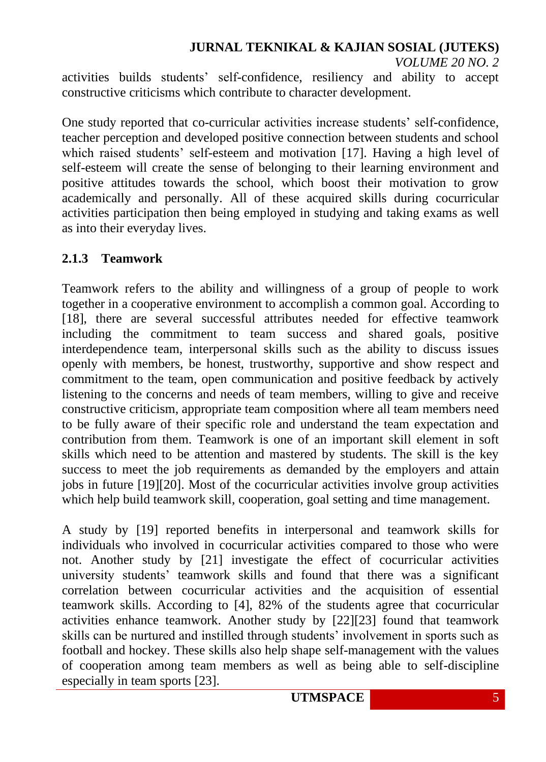activities builds students' self-confidence, resiliency and ability to accept constructive criticisms which contribute to character development.

One study reported that co-curricular activities increase students' self-confidence, teacher perception and developed positive connection between students and school which raised students' self-esteem and motivation [17]. Having a high level of self-esteem will create the sense of belonging to their learning environment and positive attitudes towards the school, which boost their motivation to grow academically and personally. All of these acquired skills during cocurricular activities participation then being employed in studying and taking exams as well as into their everyday lives.

#### **2.1.3 Teamwork**

Teamwork refers to the ability and willingness of a group of people to work together in a cooperative environment to accomplish a common goal. According to [18], there are several successful attributes needed for effective teamwork including the commitment to team success and shared goals, positive interdependence team, interpersonal skills such as the ability to discuss issues openly with members, be honest, trustworthy, supportive and show respect and commitment to the team, open communication and positive feedback by actively listening to the concerns and needs of team members, willing to give and receive constructive criticism, appropriate team composition where all team members need to be fully aware of their specific role and understand the team expectation and contribution from them. Teamwork is one of an important skill element in soft skills which need to be attention and mastered by students. The skill is the key success to meet the job requirements as demanded by the employers and attain jobs in future [19][20]. Most of the cocurricular activities involve group activities which help build teamwork skill, cooperation, goal setting and time management.

A study by [19] reported benefits in interpersonal and teamwork skills for individuals who involved in cocurricular activities compared to those who were not. Another study by [21] investigate the effect of cocurricular activities university students' teamwork skills and found that there was a significant correlation between cocurricular activities and the acquisition of essential teamwork skills. According to [4], 82% of the students agree that cocurricular activities enhance teamwork. Another study by [22][23] found that teamwork skills can be nurtured and instilled through students' involvement in sports such as football and hockey. These skills also help shape self-management with the values of cooperation among team members as well as being able to self-discipline especially in team sports [23].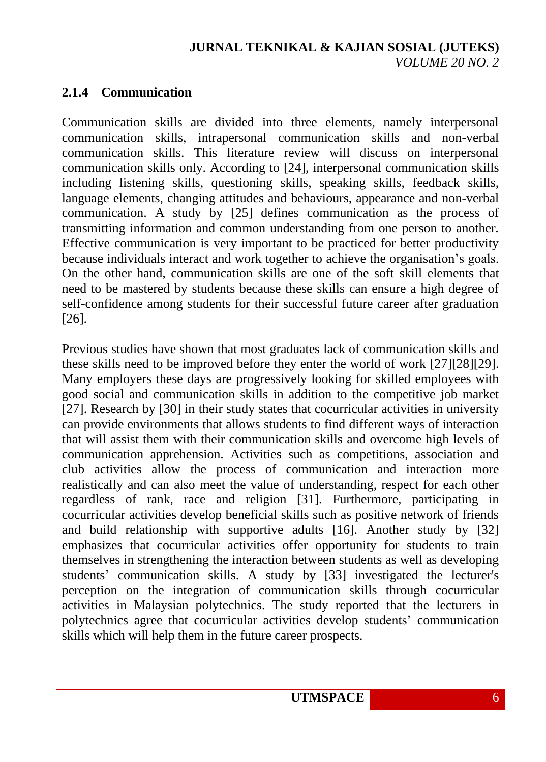## **2.1.4 Communication**

Communication skills are divided into three elements, namely interpersonal communication skills, intrapersonal communication skills and non-verbal communication skills. This literature review will discuss on interpersonal communication skills only. According to [24], interpersonal communication skills including listening skills, questioning skills, speaking skills, feedback skills, language elements, changing attitudes and behaviours, appearance and non-verbal communication. A study by [25] defines communication as the process of transmitting information and common understanding from one person to another. Effective communication is very important to be practiced for better productivity because individuals interact and work together to achieve the organisation's goals. On the other hand, communication skills are one of the soft skill elements that need to be mastered by students because these skills can ensure a high degree of self-confidence among students for their successful future career after graduation [26].

Previous studies have shown that most graduates lack of communication skills and these skills need to be improved before they enter the world of work [27][28][29]. Many employers these days are progressively looking for skilled employees with good social and communication skills in addition to the competitive job market [27]. Research by [30] in their study states that cocurricular activities in university can provide environments that allows students to find different ways of interaction that will assist them with their communication skills and overcome high levels of communication apprehension. Activities such as competitions, association and club activities allow the process of communication and interaction more realistically and can also meet the value of understanding, respect for each other regardless of rank, race and religion [31]. Furthermore, participating in cocurricular activities develop beneficial skills such as positive network of friends and build relationship with supportive adults [16]. Another study by [32] emphasizes that cocurricular activities offer opportunity for students to train themselves in strengthening the interaction between students as well as developing students' communication skills. A study by [33] investigated the lecturer's perception on the integration of communication skills through cocurricular activities in Malaysian polytechnics. The study reported that the lecturers in polytechnics agree that cocurricular activities develop students' communication skills which will help them in the future career prospects.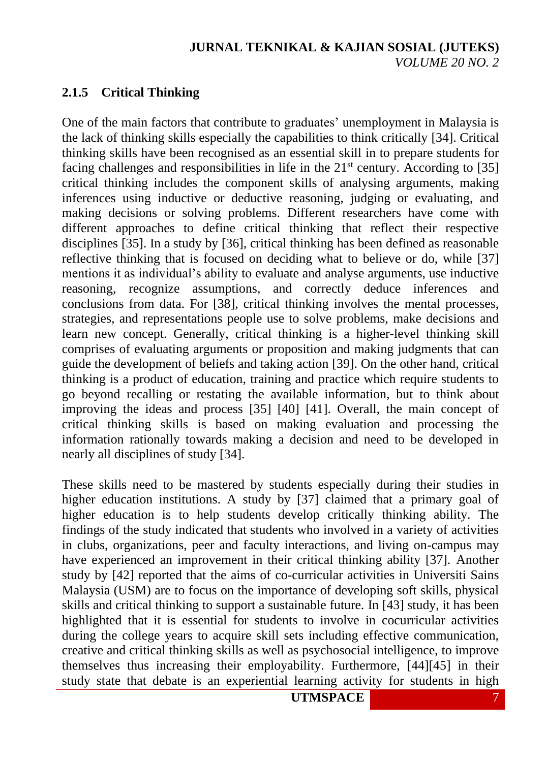#### **2.1.5 Critical Thinking**

One of the main factors that contribute to graduates' unemployment in Malaysia is the lack of thinking skills especially the capabilities to think critically [34]. Critical thinking skills have been recognised as an essential skill in to prepare students for facing challenges and responsibilities in life in the  $21<sup>st</sup>$  century. According to [35] critical thinking includes the component skills of analysing arguments, making inferences using inductive or deductive reasoning, judging or evaluating, and making decisions or solving problems. Different researchers have come with different approaches to define critical thinking that reflect their respective disciplines [35]. In a study by [36], critical thinking has been defined as reasonable reflective thinking that is focused on deciding what to believe or do, while [37] mentions it as individual's ability to evaluate and analyse arguments, use inductive reasoning, recognize assumptions, and correctly deduce inferences and conclusions from data. For [38], critical thinking involves the mental processes, strategies, and representations people use to solve problems, make decisions and learn new concept. Generally, critical thinking is a higher-level thinking skill comprises of evaluating arguments or proposition and making judgments that can guide the development of beliefs and taking action [39]. On the other hand, critical thinking is a product of education, training and practice which require students to go beyond recalling or restating the available information, but to think about improving the ideas and process [35] [40] [41]. Overall, the main concept of critical thinking skills is based on making evaluation and processing the information rationally towards making a decision and need to be developed in nearly all disciplines of study [34].

These skills need to be mastered by students especially during their studies in higher education institutions. A study by [37] claimed that a primary goal of higher education is to help students develop critically thinking ability. The findings of the study indicated that students who involved in a variety of activities in clubs, organizations, peer and faculty interactions, and living on-campus may have experienced an improvement in their critical thinking ability [37]. Another study by [42] reported that the aims of co-curricular activities in Universiti Sains Malaysia (USM) are to focus on the importance of developing soft skills, physical skills and critical thinking to support a sustainable future. In [43] study, it has been highlighted that it is essential for students to involve in cocurricular activities during the college years to acquire skill sets including effective communication, creative and critical thinking skills as well as psychosocial intelligence, to improve themselves thus increasing their employability. Furthermore, [44][45] in their study state that debate is an experiential learning activity for students in high

**UTMSPACE** 7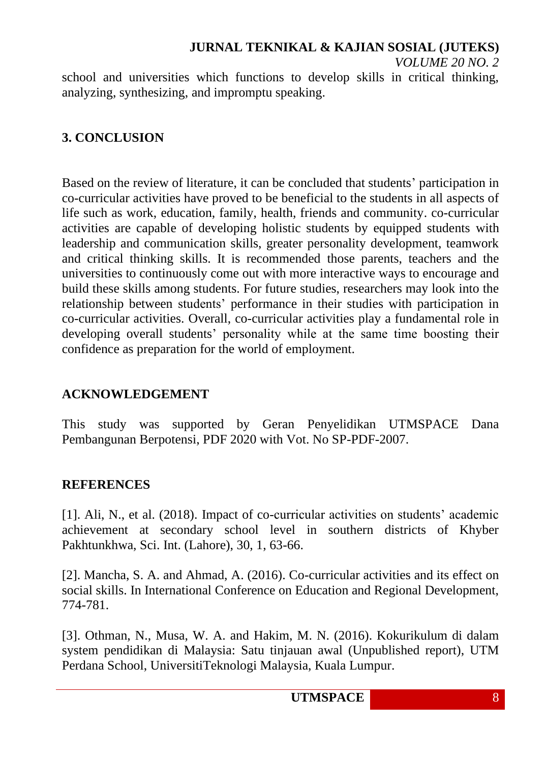school and universities which functions to develop skills in critical thinking, analyzing, synthesizing, and impromptu speaking.

#### **3. CONCLUSION**

Based on the review of literature, it can be concluded that students' participation in co-curricular activities have proved to be beneficial to the students in all aspects of life such as work, education, family, health, friends and community. co-curricular activities are capable of developing holistic students by equipped students with leadership and communication skills, greater personality development, teamwork and critical thinking skills. It is recommended those parents, teachers and the universities to continuously come out with more interactive ways to encourage and build these skills among students. For future studies, researchers may look into the relationship between students' performance in their studies with participation in co-curricular activities. Overall, co-curricular activities play a fundamental role in developing overall students' personality while at the same time boosting their confidence as preparation for the world of employment.

#### **ACKNOWLEDGEMENT**

This study was supported by Geran Penyelidikan UTMSPACE Dana Pembangunan Berpotensi, PDF 2020 with Vot. No SP-PDF-2007.

#### **REFERENCES**

[1]. Ali, N., et al. (2018). Impact of co-curricular activities on students' academic achievement at secondary school level in southern districts of Khyber Pakhtunkhwa, Sci. Int. (Lahore), 30, 1, 63-66.

[2]. Mancha, S. A. and Ahmad, A. (2016). Co-curricular activities and its effect on social skills. In International Conference on Education and Regional Development, 774-781.

[3]. Othman, N., Musa, W. A. and Hakim, M. N. (2016). Kokurikulum di dalam system pendidikan di Malaysia: Satu tinjauan awal (Unpublished report), UTM Perdana School, UniversitiTeknologi Malaysia, Kuala Lumpur.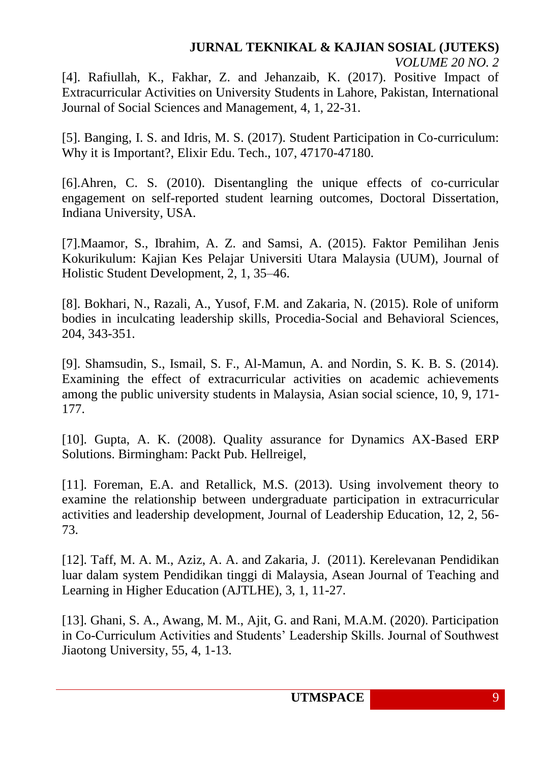[4]. Rafiullah, K., Fakhar, Z. and Jehanzaib, K. (2017). Positive Impact of Extracurricular Activities on University Students in Lahore, Pakistan, International Journal of Social Sciences and Management, 4, 1, 22-31.

[5]. Banging, I. S. and Idris, M. S. (2017). Student Participation in Co-curriculum: Why it is Important?, Elixir Edu. Tech., 107, 47170-47180.

[6].Ahren, C. S. (2010). Disentangling the unique effects of co-curricular engagement on self-reported student learning outcomes, Doctoral Dissertation, Indiana University, USA.

[7].Maamor, S., Ibrahim, A. Z. and Samsi, A. (2015). Faktor Pemilihan Jenis Kokurikulum: Kajian Kes Pelajar Universiti Utara Malaysia (UUM), Journal of Holistic Student Development, 2, 1, 35–46.

[8]. Bokhari, N., Razali, A., Yusof, F.M. and Zakaria, N. (2015). Role of uniform bodies in inculcating leadership skills, Procedia-Social and Behavioral Sciences, 204, 343-351.

[9]. Shamsudin, S., Ismail, S. F., Al-Mamun, A. and Nordin, S. K. B. S. (2014). Examining the effect of extracurricular activities on academic achievements among the public university students in Malaysia, Asian social science, 10, 9, 171- 177.

[10]. Gupta, A. K. (2008). Quality assurance for Dynamics AX-Based ERP Solutions. Birmingham: Packt Pub. Hellreigel,

[11]. Foreman, E.A. and Retallick, M.S. (2013). Using involvement theory to examine the relationship between undergraduate participation in extracurricular activities and leadership development, Journal of Leadership Education, 12, 2, 56- 73.

[12]. Taff, M. A. M., Aziz, A. A. and Zakaria, J. (2011). Kerelevanan Pendidikan luar dalam system Pendidikan tinggi di Malaysia, Asean Journal of Teaching and Learning in Higher Education (AJTLHE), 3, 1, 11-27.

[13]. Ghani, S. A., Awang, M. M., Ajit, G. and Rani, M.A.M. (2020). Participation in Co-Curriculum Activities and Students' Leadership Skills. Journal of Southwest Jiaotong University, 55, 4, 1-13.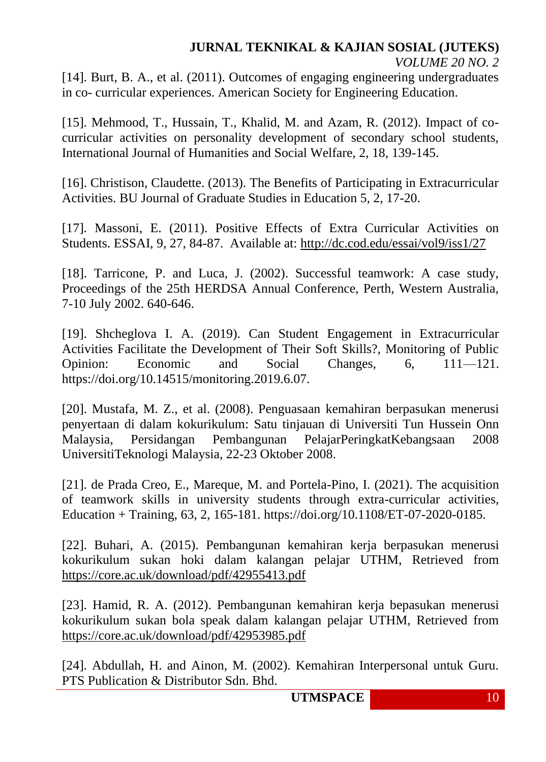[14]. Burt, B. A., et al. (2011). Outcomes of engaging engineering undergraduates in co- curricular experiences. American Society for Engineering Education.

[15]. Mehmood, T., Hussain, T., Khalid, M. and Azam, R. (2012). Impact of cocurricular activities on personality development of secondary school students, International Journal of Humanities and Social Welfare, 2, 18, 139-145.

[16]. Christison, Claudette. (2013). The Benefits of Participating in Extracurricular Activities. BU Journal of Graduate Studies in Education 5, 2, 17-20.

[17]. Massoni, E. (2011). Positive Effects of Extra Curricular Activities on Students. ESSAI, 9, 27, 84-87. Available at:<http://dc.cod.edu/essai/vol9/iss1/27>

[18]. Tarricone, P. and Luca, J. (2002). Successful teamwork: A case study, Proceedings of the 25th HERDSA Annual Conference, Perth, Western Australia, 7-10 July 2002. 640-646.

[19]. Shcheglova I. A. (2019). Can Student Engagement in Extracurricular Activities Facilitate the Development of Their Soft Skills?, Monitoring of Public Opinion: Economic and Social Changes, 6, 111—121. https://doi.org/10.14515/monitoring.2019.6.07.

[20]. Mustafa, M. Z., et al. (2008). Penguasaan kemahiran berpasukan menerusi penyertaan di dalam kokurikulum: Satu tinjauan di Universiti Tun Hussein Onn Malaysia, Persidangan Pembangunan PelajarPeringkatKebangsaan 2008 UniversitiTeknologi Malaysia, 22-23 Oktober 2008.

[21]. de Prada Creo, E., Mareque, M. and Portela-Pino, I. (2021). The acquisition of teamwork skills in university students through extra-curricular activities, Education + Training, 63, 2, 165-181. https://doi.org/10.1108/ET-07-2020-0185.

[22]. Buhari, A. (2015). Pembangunan kemahiran kerja berpasukan menerusi kokurikulum sukan hoki dalam kalangan pelajar UTHM, Retrieved from <https://core.ac.uk/download/pdf/42955413.pdf>

[23]. Hamid, R. A. (2012). Pembangunan kemahiran kerja bepasukan menerusi kokurikulum sukan bola speak dalam kalangan pelajar UTHM, Retrieved from <https://core.ac.uk/download/pdf/42953985.pdf>

[24]. Abdullah, H. and Ainon, M. (2002). Kemahiran Interpersonal untuk Guru. PTS Publication & Distributor Sdn. Bhd.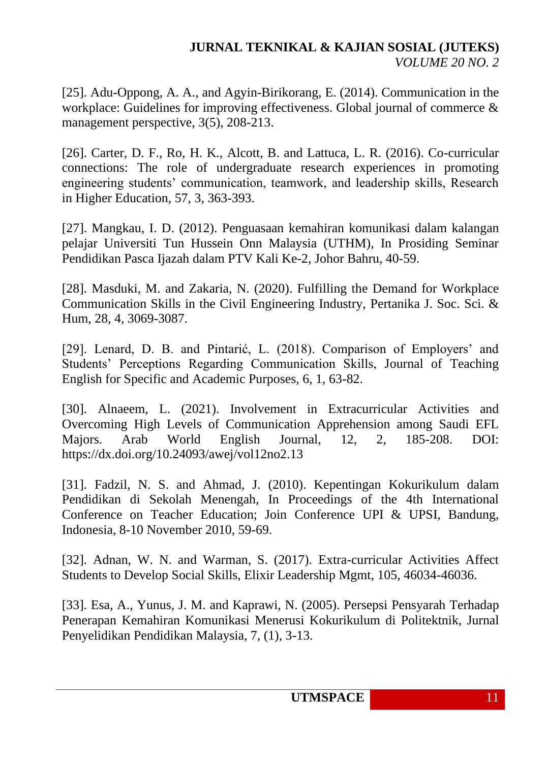[25]. Adu-Oppong, A. A., and Agyin-Birikorang, E. (2014). Communication in the workplace: Guidelines for improving effectiveness. Global journal of commerce & management perspective, 3(5), 208-213.

[26]. Carter, D. F., Ro, H. K., Alcott, B. and Lattuca, L. R. (2016). Co-curricular connections: The role of undergraduate research experiences in promoting engineering students' communication, teamwork, and leadership skills, Research in Higher Education, 57, 3, 363-393.

[27]. Mangkau, I. D. (2012). Penguasaan kemahiran komunikasi dalam kalangan pelajar Universiti Tun Hussein Onn Malaysia (UTHM), In Prosiding Seminar Pendidikan Pasca Ijazah dalam PTV Kali Ke-2, Johor Bahru, 40-59.

[28]. Masduki, M. and Zakaria, N. (2020). Fulfilling the Demand for Workplace Communication Skills in the Civil Engineering Industry, Pertanika J. Soc. Sci. & Hum, 28, 4, 3069-3087.

[29]. Lenard, D. B. and Pintarić, L. (2018). Comparison of Employers' and Students' Perceptions Regarding Communication Skills, Journal of Teaching English for Specific and Academic Purposes, 6, 1, 63-82.

[30]. Alnaeem, L. (2021). Involvement in Extracurricular Activities and Overcoming High Levels of Communication Apprehension among Saudi EFL Majors. Arab World English Journal, 12, 2, 185-208. DOI: https://dx.doi.org/10.24093/awej/vol12no2.13

[31]. Fadzil, N. S. and Ahmad, J. (2010). Kepentingan Kokurikulum dalam Pendidikan di Sekolah Menengah, In Proceedings of the 4th International Conference on Teacher Education; Join Conference UPI & UPSI, Bandung, Indonesia, 8-10 November 2010, 59-69.

[32]. Adnan, W. N. and Warman, S. (2017). Extra-curricular Activities Affect Students to Develop Social Skills, Elixir Leadership Mgmt, 105, 46034-46036.

[33]. Esa, A., Yunus, J. M. and Kaprawi, N. (2005). Persepsi Pensyarah Terhadap Penerapan Kemahiran Komunikasi Menerusi Kokurikulum di Politektnik, Jurnal Penyelidikan Pendidikan Malaysia, 7, (1), 3-13.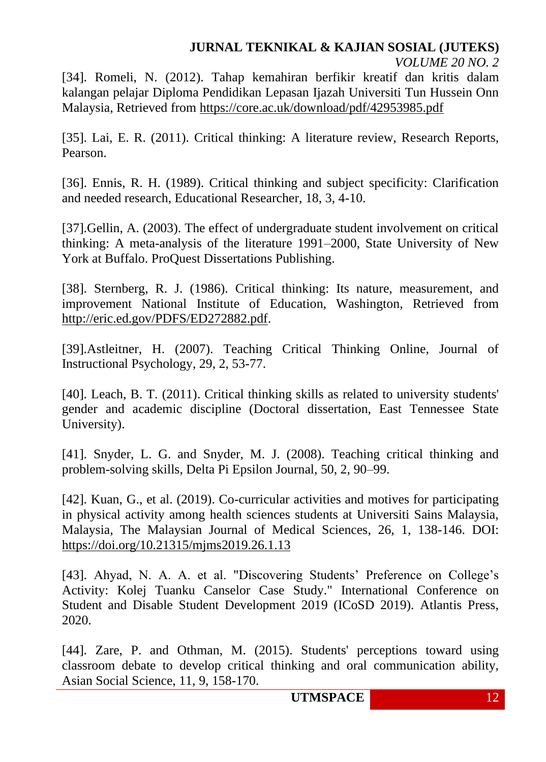# **JURNAL TEKNIKAL & KAJIAN SOSIAL (JUTEKS)**

*VOLUME 20 NO. 2*

[34]. Romeli, N. (2012). Tahap kemahiran berfikir kreatif dan kritis dalam kalangan pelajar Diploma Pendidikan Lepasan Ijazah Universiti Tun Hussein Onn Malaysia, Retrieved from<https://core.ac.uk/download/pdf/42953985.pdf>

[35]. Lai, E. R. (2011). Critical thinking: A literature review, Research Reports, Pearson.

[36]. Ennis, R. H. (1989). Critical thinking and subject specificity: Clarification and needed research, Educational Researcher, 18, 3, 4-10.

[37].Gellin, A. (2003). The effect of undergraduate student involvement on critical thinking: A meta-analysis of the literature 1991–2000, State University of New York at Buffalo. ProQuest Dissertations Publishing.

[38]. Sternberg, R. J. (1986). Critical thinking: Its nature, measurement, and improvement National Institute of Education, Washington, Retrieved from [http://eric.ed.gov/PDFS/ED272882.pdf.](http://eric.ed.gov/PDFS/ED272882.pdf)

[39].Astleitner, H. (2007). Teaching Critical Thinking Online, Journal of Instructional Psychology, 29, 2, 53-77.

[40]. Leach, B. T. (2011). Critical thinking skills as related to university students' gender and academic discipline (Doctoral dissertation, East Tennessee State University).

[41]. Snyder, L. G. and Snyder, M. J. (2008). Teaching critical thinking and problem-solving skills, Delta Pi Epsilon Journal, 50, 2, 90–99.

[42]. Kuan, G., et al. (2019). Co-curricular activities and motives for participating in physical activity among health sciences students at Universiti Sains Malaysia, Malaysia, The Malaysian Journal of Medical Sciences, 26, 1, 138-146. DOI: <https://doi.org/10.21315/mjms2019.26.1.13>

[43]. Ahyad, N. A. A. et al. "Discovering Students' Preference on College's Activity: Kolej Tuanku Canselor Case Study." International Conference on Student and Disable Student Development 2019 (ICoSD 2019). Atlantis Press, 2020.

[44]. Zare, P. and Othman, M. (2015). Students' perceptions toward using classroom debate to develop critical thinking and oral communication ability, Asian Social Science, 11, 9, 158-170.